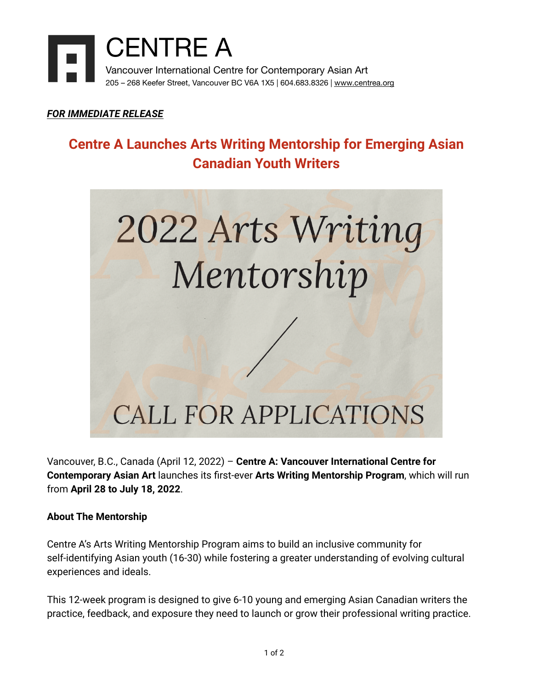

#### *FOR IMMEDIATE RELEASE*

## **Centre A Launches Arts Writing Mentorship for Emerging Asian Canadian Youth Writers**



Vancouver, B.C., Canada (April 12, 2022) – **Centre A: Vancouver International Centre for Contemporary Asian Art** launches its first-ever **Arts Writing Mentorship Program**, which will run from **April 28 to July 18, 2022**.

#### **About The Mentorship**

Centre A's Arts Writing Mentorship Program aims to build an inclusive community for self-identifying Asian youth (16-30) while fostering a greater understanding of evolving cultural experiences and ideals.

This 12-week program is designed to give 6-10 young and emerging Asian Canadian writers the practice, feedback, and exposure they need to launch or grow their professional writing practice.